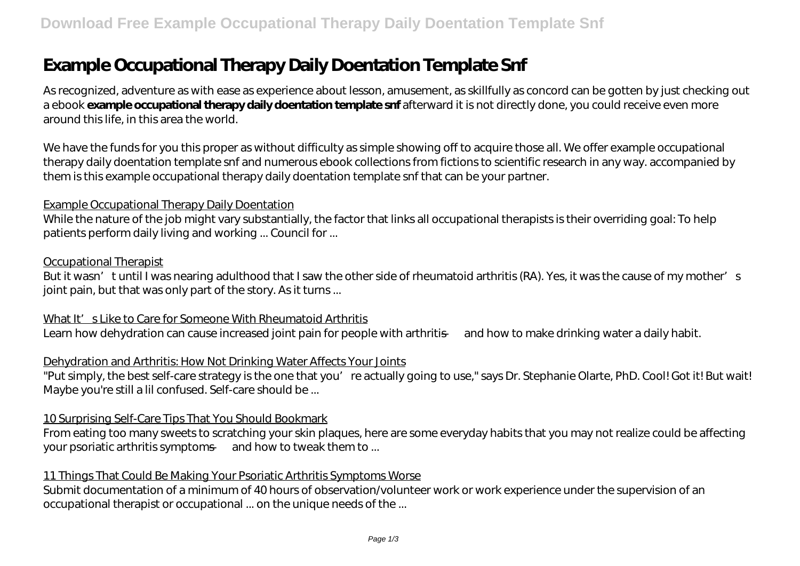# **Example Occupational Therapy Daily Doentation Template Snf**

As recognized, adventure as with ease as experience about lesson, amusement, as skillfully as concord can be gotten by just checking out a ebook **example occupational therapy daily doentation template snf** afterward it is not directly done, you could receive even more around this life, in this area the world.

We have the funds for you this proper as without difficulty as simple showing off to acquire those all. We offer example occupational therapy daily doentation template snf and numerous ebook collections from fictions to scientific research in any way. accompanied by them is this example occupational therapy daily doentation template snf that can be your partner.

#### Example Occupational Therapy Daily Doentation

While the nature of the job might vary substantially, the factor that links all occupational therapists is their overriding goal: To help patients perform daily living and working ... Council for ...

#### Occupational Therapist

But it wasn' tuntil I was nearing adulthood that I saw the other side of rheumatoid arthritis (RA). Yes, it was the cause of my mother's joint pain, but that was only part of the story. As it turns...

What It' s Like to Care for Someone With Rheumatoid Arthritis Learn how dehydration can cause increased joint pain for people with arthritis — and how to make drinking water a daily habit.

# Dehydration and Arthritis: How Not Drinking Water Affects Your Joints

"Put simply, the best self-care strategy is the one that you're actually going to use," says Dr. Stephanie Olarte, PhD. Cool! Got it! But wait! Maybe you're still a lil confused. Self-care should be ...

# 10 Surprising Self-Care Tips That You Should Bookmark

From eating too many sweets to scratching your skin plaques, here are some everyday habits that you may not realize could be affecting your psoriatic arthritis symptoms — and how to tweak them to ...

# 11 Things That Could Be Making Your Psoriatic Arthritis Symptoms Worse

Submit documentation of a minimum of 40 hours of observation/volunteer work or work experience under the supervision of an occupational therapist or occupational ... on the unique needs of the ...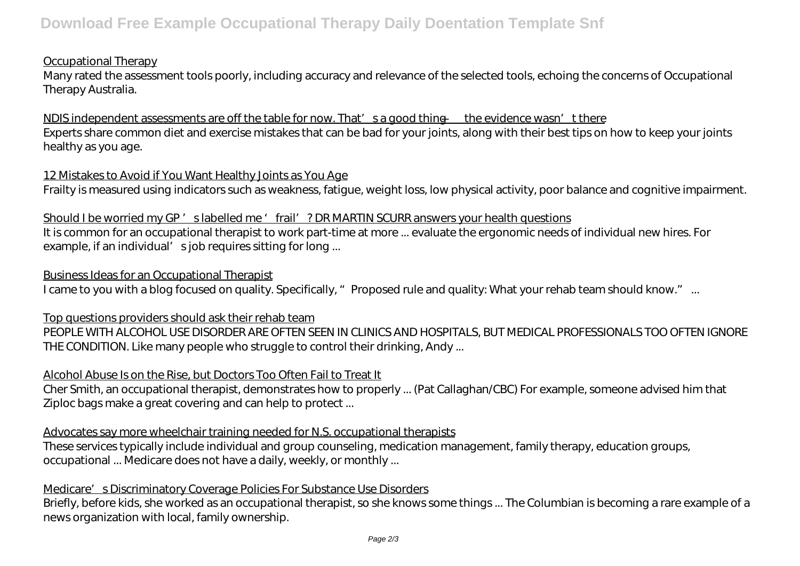# Occupational Therapy

Many rated the assessment tools poorly, including accuracy and relevance of the selected tools, echoing the concerns of Occupational Therapy Australia.

NDIS independent assessments are off the table for now. That's a good thing — the evidence wasn't there Experts share common diet and exercise mistakes that can be bad for your joints, along with their best tips on how to keep your joints healthy as you age.

# 12 Mistakes to Avoid if You Want Healthy Joints as You Age

Frailty is measured using indicators such as weakness, fatigue, weight loss, low physical activity, poor balance and cognitive impairment.

#### Should I be worried my GP' slabelled me 'frail' ? DR MARTIN SCURR answers your health questions

It is common for an occupational therapist to work part-time at more ... evaluate the ergonomic needs of individual new hires. For example, if an individual' sjob requires sitting for long ...

#### Business Ideas for an Occupational Therapist

I came to you with a blog focused on quality. Specifically, " Proposed rule and quality: What your rehab team should know." ...

# Top questions providers should ask their rehab team

PEOPLE WITH ALCOHOL USE DISORDER ARE OFTEN SEEN IN CLINICS AND HOSPITALS, BUT MEDICAL PROFESSIONALS TOO OFTEN IGNORE THE CONDITION. Like many people who struggle to control their drinking, Andy ...

# Alcohol Abuse Is on the Rise, but Doctors Too Often Fail to Treat It

Cher Smith, an occupational therapist, demonstrates how to properly ... (Pat Callaghan/CBC) For example, someone advised him that Ziploc bags make a great covering and can help to protect ...

# Advocates say more wheelchair training needed for N.S. occupational therapists

These services typically include individual and group counseling, medication management, family therapy, education groups, occupational ... Medicare does not have a daily, weekly, or monthly ...

# Medicare's Discriminatory Coverage Policies For Substance Use Disorders

Briefly, before kids, she worked as an occupational therapist, so she knows some things ... The Columbian is becoming a rare example of a news organization with local, family ownership.